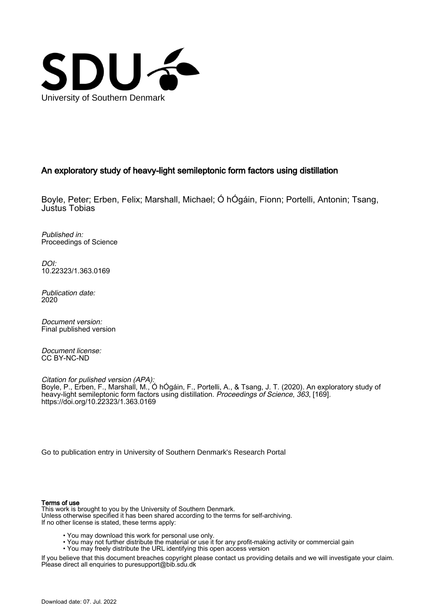

# An exploratory study of heavy-light semileptonic form factors using distillation

Boyle, Peter; Erben, Felix; Marshall, Michael; Ó hÓgáin, Fionn; Portelli, Antonin; Tsang, Justus Tobias

Published in: Proceedings of Science

DOI: [10.22323/1.363.0169](https://doi.org/10.22323/1.363.0169)

Publication date: 2020

Document version: Final published version

Document license: CC BY-NC-ND

Citation for pulished version (APA): Boyle, P., Erben, F., Marshall, M., Ó hÓgáin, F., Portelli, A., & Tsang, J. T. (2020). An exploratory study of heavy-light semileptonic form factors using distillation. Proceedings of Science, 363, [169]. <https://doi.org/10.22323/1.363.0169>

[Go to publication entry in University of Southern Denmark's Research Portal](https://portal.findresearcher.sdu.dk/en/publications/ad449f4d-0115-4e85-bcb1-3044c015c173)

#### Terms of use

This work is brought to you by the University of Southern Denmark. Unless otherwise specified it has been shared according to the terms for self-archiving. If no other license is stated, these terms apply:

- You may download this work for personal use only.
- You may not further distribute the material or use it for any profit-making activity or commercial gain
- You may freely distribute the URL identifying this open access version

If you believe that this document breaches copyright please contact us providing details and we will investigate your claim. Please direct all enquiries to puresupport@bib.sdu.dk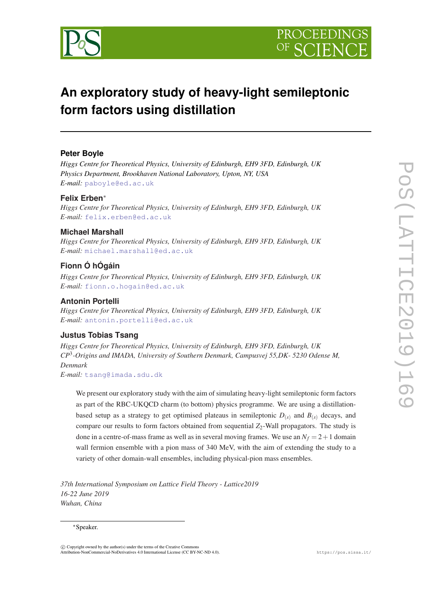

# **An exploratory study of heavy-light semileptonic form factors using distillation**

# **Peter Boyle**

*Higgs Centre for Theoretical Physics, University of Edinburgh, EH9 3FD, Edinburgh, UK Physics Department, Brookhaven National Laboratory, Upton, NY, USA E-mail:* [paboyle@ed.ac.uk](mailto:paboyle@ed.ac.uk)

# **Felix Erben**<sup>∗</sup>

*Higgs Centre for Theoretical Physics, University of Edinburgh, EH9 3FD, Edinburgh, UK E-mail:* [felix.erben@ed.ac.uk](mailto:felix.erben@ed.ac.uk)

## **Michael Marshall**

*Higgs Centre for Theoretical Physics, University of Edinburgh, EH9 3FD, Edinburgh, UK E-mail:* [michael.marshall@ed.ac.uk](mailto:michael.marshall@ed.ac.uk)

# **Fionn Ó hÓgáin**

*Higgs Centre for Theoretical Physics, University of Edinburgh, EH9 3FD, Edinburgh, UK E-mail:* [fionn.o.hogain@ed.ac.uk](mailto:fionn.o.hogain@ed.ac.uk)

# **Antonin Portelli**

*Higgs Centre for Theoretical Physics, University of Edinburgh, EH9 3FD, Edinburgh, UK E-mail:* [antonin.portelli@ed.ac.uk](mailto:antonin.portelli@ed.ac.uk)

# **Justus Tobias Tsang**

*Higgs Centre for Theoretical Physics, University of Edinburgh, EH9 3FD, Edinburgh, UK CP*<sup>3</sup> *-Origins and IMADA, University of Southern Denmark, Campusvej 55,DK- 5230 Odense M, Denmark*

*E-mail:* [tsang@imada.sdu.dk](mailto:tsang@imada.sdu.dk)

We present our exploratory study with the aim of simulating heavy-light semileptonic form factors as part of the RBC-UKQCD charm (to bottom) physics programme. We are using a distillationbased setup as a strategy to get optimised plateaus in semileptonic  $D_{(s)}$  and  $B_{(s)}$  decays, and compare our results to form factors obtained from sequential  $Z_2$ -Wall propagators. The study is done in a centre-of-mass frame as well as in several moving frames. We use an  $N_f = 2 + 1$  domain wall fermion ensemble with a pion mass of 340 MeV, with the aim of extending the study to a variety of other domain-wall ensembles, including physical-pion mass ensembles.

*37th International Symposium on Lattice Field Theory - Lattice2019 16-22 June 2019 Wuhan, China*

#### <sup>∗</sup>Speaker.

 $(C)$  Copyright owned by the author(s) under the terms of the Creative Common Attribution-NonCommercial-NoDerivatives 4.0 International License (CC BY-NC-ND 4.0). https://pos.sissa.it/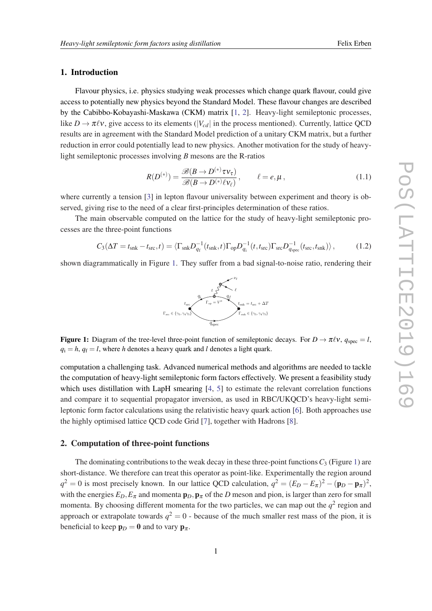# 1. Introduction

Flavour physics, i.e. physics studying weak processes which change quark flavour, could give access to potentially new physics beyond the Standard Model. These flavour changes are described by the Cabibbo-Kobayashi-Maskawa (CKM) matrix [\[1,](#page-7-0) [2\]](#page-7-0). Heavy-light semileptonic processes, like  $D \to \pi \ell \nu$ , give access to its elements ( $|V_{cd}|$  in the process mentioned). Currently, lattice QCD results are in agreement with the Standard Model prediction of a unitary CKM matrix, but a further reduction in error could potentially lead to new physics. Another motivation for the study of heavylight semileptonic processes involving *B* mesons are the R-ratios

$$
R(D^{(*)}) = \frac{\mathscr{B}(B \to D^{(*)}\tau \nu_{\tau})}{\mathscr{B}(B \to D^{(*)}\ell \nu_{\ell})}, \qquad \ell = e, \mu,
$$
\n(1.1)

where currently a tension [\[3\]](#page-7-0) in lepton flavour universality between experiment and theory is observed, giving rise to the need of a clear first-principles determination of these ratios.

The main observable computed on the lattice for the study of heavy-light semileptonic processes are the three-point functions

$$
C_3(\Delta T = t_{\rm snk} - t_{\rm src}, t) = \langle \Gamma_{\rm snk} D_{q_{\rm f}}^{-1}(t_{\rm snk}, t) \Gamma_{\rm op} D_{q_{\rm i}}^{-1}(t, t_{\rm src}) \Gamma_{\rm src} D_{q_{\rm spec}}^{-1}(t_{\rm src}, t_{\rm snk}) \rangle, \qquad (1.2)
$$

shown diagrammatically in Figure 1. They suffer from a bad signal-to-noise ratio, rendering their



**Figure 1:** Diagram of the tree-level three-point function of semileptonic decays. For  $D \to \pi \ell v$ ,  $q_{\text{spec}} = l$ ,  $q_i = h$ ,  $q_f = l$ , where *h* denotes a heavy quark and *l* denotes a light quark.

computation a challenging task. Advanced numerical methods and algorithms are needed to tackle the computation of heavy-light semileptonic form factors effectively. We present a feasibility study which uses distillation with LapH smearing [[4](#page-7-0), [5](#page-7-0)] to estimate the relevant correlation functions and compare it to sequential propagator inversion, as used in RBC/UKQCD's heavy-light semileptonic form factor calculations using the relativistic heavy quark action [[6](#page-7-0)]. Both approaches use the highly optimised lattice QCD code Grid [[7](#page-7-0)], together with Hadrons [\[8\]](#page-7-0).

#### 2. Computation of three-point functions

The dominating contributions to the weak decay in these three-point functions  $C_3$  (Figure 1) are short-distance. We therefore can treat this operator as point-like. Experimentally the region around  $q^2 = 0$  is most precisely known. In our lattice QCD calculation,  $q^2 = (E_D - E_\pi)^2 - (\mathbf{p}_D - \mathbf{p}_\pi)^2$ , with the energies  $E_D$ ,  $E_{\pi}$  and momenta  $\mathbf{p}_D$ ,  $\mathbf{p}_{\pi}$  of the *D* meson and pion, is larger than zero for small momenta. By choosing different momenta for the two particles, we can map out the  $q^2$  region and approach or extrapolate towards  $q^2 = 0$  - because of the much smaller rest mass of the pion, it is beneficial to keep  $\mathbf{p}_D = \mathbf{0}$  and to vary  $\mathbf{p}_{\pi}$ .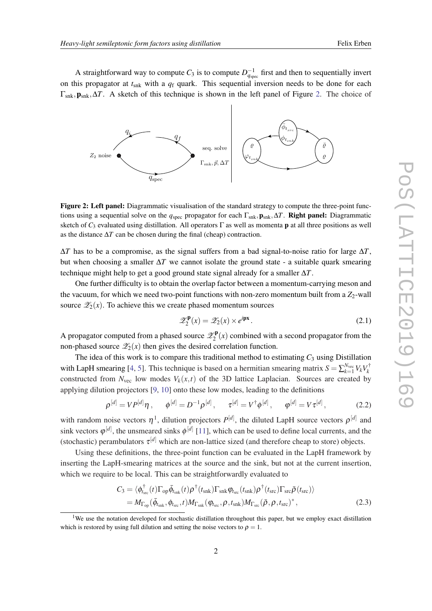<span id="page-3-0"></span>A straightforward way to compute  $C_3$  is to compute  $D_{q_{\text{spec}}}^{-1}$  first and then to sequentially invert on this propagator at *t*snk with a *q*<sup>f</sup> quark. This sequential inversion needs to be done for each Γsnk,psnk,∆*T*. A sketch of this technique is shown in the left panel of Figure 2. The choice of



Figure 2: Left panel: Diagrammatic visualisation of the standard strategy to compute the three-point functions using a sequential solve on the  $q_{\text{spec}}$  propagator for each  $\Gamma_{\text{snk}}$ ,  $p_{\text{snk}}$ ,  $\Delta T$ . **Right panel:** Diagrammatic sketch of  $C_3$  evaluated using distillation. All operators  $\Gamma$  as well as momenta **p** at all three positions as well as the distance ∆*T* can be chosen during the final (cheap) contraction.

 $\Delta T$  has to be a compromise, as the signal suffers from a bad signal-to-noise ratio for large  $\Delta T$ , but when choosing a smaller ∆*T* we cannot isolate the ground state - a suitable quark smearing technique might help to get a good ground state signal already for a smaller ∆*T*.

One further difficulty is to obtain the overlap factor between a momentum-carrying meson and the vacuum, for which we need two-point functions with non-zero momentum built from a  $Z_2$ -wall source  $\mathscr{Z}_2(x)$ . To achieve this we create phased momentum sources

$$
\mathscr{Z}_2^{\mathbf{p}}(x) = \mathscr{Z}_2(x) \times e^{i\mathbf{p}x}.
$$
 (2.1)

A propagator computed from a phased source  $\mathscr{Z}^\mathbf{p}_2$  $2<sup>e</sup>P(x)$  combined with a second propagator from the non-phased source  $\mathscr{Z}_2(x)$  then gives the desired correlation function.

The idea of this work is to compare this traditional method to estimating  $C_3$  using Distillation with LapH smearing [[4](#page-7-0), [5](#page-7-0)]. This technique is based on a hermitian smearing matrix  $S = \sum_{k=1}^{N_{\text{vec}}} V_k V_k^{\dagger}$ *k* constructed from  $N_{\text{vec}}$  low modes  $V_k(x,t)$  of the 3D lattice Laplacian. Sources are created by applying dilution projectors [[9](#page-7-0), [10\]](#page-7-0) onto these low modes, leading to the definitions

$$
\rho^{[d]} = V P^{[d]} \eta \,, \qquad \phi^{[d]} = D^{-1} \rho^{[d]} \,, \qquad \tau^{[d]} = V^{\dagger} \phi^{[d]} \,, \qquad \phi^{[d]} = V \tau^{[d]} \,, \tag{2.2}
$$

with random noise vectors  $\eta^1$ , dilution projectors  $P^{[d]}$ , the diluted LapH source vectors  $\rho^{[d]}$  and sink vectors  $\varphi^{[d]}$ , the unsmeared sinks  $\varphi^{[d]}$  [\[11](#page-7-0)], which can be used to define local currents, and the (stochastic) perambulators  $\tau^{[d]}$  which are non-lattice sized (and therefore cheap to store) objects.

Using these definitions, the three-point function can be evaluated in the LapH framework by inserting the LapH-smearing matrices at the source and the sink, but not at the current insertion, which we require to be local. This can be straightforwardly evaluated to

$$
C_3 = \langle \phi_{t_{\rm src}}^{\dagger}(t) \Gamma_{\rm op} \bar{\phi}_{t_{\rm snk}}(t) \rho^{\dagger}(t_{\rm snk}) \Gamma_{\rm snk} \phi_{t_{\rm src}}(t_{\rm snk}) \rho^{\dagger}(t_{\rm src}) \Gamma_{\rm src} \bar{\rho}(t_{\rm src}) \rangle = M_{\Gamma_{\rm op}}(\bar{\phi}_{t_{\rm snk}}, \phi_{t_{\rm src}}, t) M_{\Gamma_{\rm snk}}(\phi_{t_{\rm src}}, \rho, t_{\rm snk}) M_{\Gamma_{\rm src}}(\bar{\rho}, \rho, t_{\rm src})^*,
$$
(2.3)

<sup>&</sup>lt;sup>1</sup>We use the notation developed for stochastic distillation throughout this paper, but we employ exact distillation which is restored by using full dilution and setting the noise vectors to  $\rho = 1$ .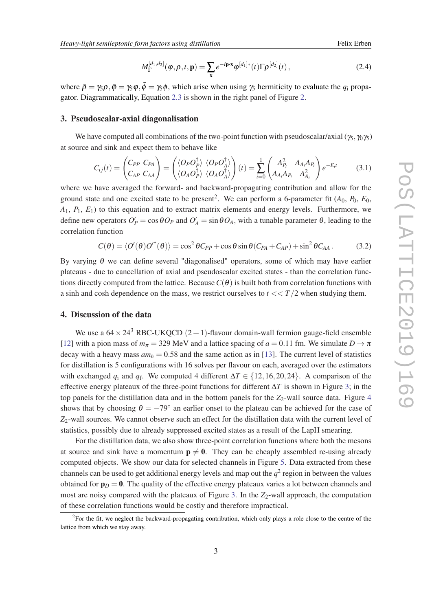$$
M_{\Gamma}^{[d_1,d_2]}(\varphi,\rho,t,\mathbf{p}) = \sum_{\mathbf{x}} e^{-i\mathbf{p}\cdot\mathbf{x}} \varphi^{[d_1]*}(t) \Gamma \rho^{[d_2]}(t), \qquad (2.4)
$$

<span id="page-4-0"></span>where  $\bar{\rho} = \gamma_5 \rho$ ,  $\bar{\phi} = \gamma_5 \phi$ , which arise when using  $\gamma_5$  hermiticity to evaluate the  $q_i$  propagator. Diagrammatically, Equation [2.3](#page-3-0) is shown in the right panel of Figure [2.](#page-3-0)

#### 3. Pseudoscalar-axial diagonalisation

We have computed all combinations of the two-point function with pseudoscalar/axial ( $\gamma_5$ ,  $\gamma_0\gamma_5$ ) at source and sink and expect them to behave like

$$
C_{ij}(t) = \begin{pmatrix} C_{PP} & C_{PA} \\ C_{AP} & C_{AA} \end{pmatrix} = \begin{pmatrix} \langle O_P O_P^{\dagger} \rangle & \langle O_P O_A^{\dagger} \rangle \\ \langle O_A O_P^{\dagger} \rangle & \langle O_A O_A^{\dagger} \rangle \end{pmatrix}(t) = \sum_{i=0}^{1} \begin{pmatrix} A_{P_i}^2 & A_{A_i} A_{P_i} \\ A_{A_i} A_{P_i} & A_{A_i}^2 \end{pmatrix} e^{-E_i t} \tag{3.1}
$$

where we have averaged the forward- and backward-propagating contribution and allow for the ground state and one excited state to be present<sup>2</sup>. We can perform a 6-parameter fit  $(A_0, P_0, E_0,$ *A*1, *P*1, *E*1) to this equation and to extract matrix elements and energy levels. Furthermore, we define new operators  $O_P' = \cos \theta O_P$  and  $O_A' = \sin \theta O_A$ , with a tunable parameter  $\theta$ , leading to the correlation function

$$
C(\theta) = \langle O'(\theta)O'^{\dagger}(\theta)\rangle = \cos^2\theta C_{PP} + \cos\theta\sin\theta (C_{PA} + C_{AP}) + \sin^2\theta C_{AA}.
$$
 (3.2)

By varying  $θ$  we can define several "diagonalised" operators, some of which may have earlier plateaus - due to cancellation of axial and pseudoscalar excited states - than the correlation functions directly computed from the lattice. Because  $C(\theta)$  is built both from correlation functions with a sinh and cosh dependence on the mass, we restrict ourselves to  $t \ll T/2$  when studying them.

#### 4. Discussion of the data

We use a  $64 \times 24^3$  RBC-UKQCD  $(2+1)$ -flavour domain-wall fermion gauge-field ensemble [[12\]](#page-7-0) with a pion mass of  $m_{\pi} = 329$  MeV and a lattice spacing of  $a = 0.11$  fm. We simulate  $D \to \pi$ decay with a heavy mass  $am_h = 0.58$  and the same action as in [\[13](#page-7-0)]. The current level of statistics for distillation is 5 configurations with 16 solves per flavour on each, averaged over the estimators with exchanged  $q_i$  and  $q_f$ . We computed 4 different  $\Delta T \in \{12, 16, 20, 24\}$ . A comparison of the effective energy plateaux of the three-point functions for different ∆*T* is shown in Figure [3](#page-5-0); in the top panels for the distillation data and in the bottom panels for the  $Z_2$ -wall source data. Figure [4](#page-5-0) shows that by choosing  $\theta = -79^\circ$  an earlier onset to the plateau can be achieved for the case of  $Z_2$ -wall sources. We cannot observe such an effect for the distillation data with the current level of statistics, possibly due to already suppressed excited states as a result of the LapH smearing.

For the distillation data, we also show three-point correlation functions where both the mesons at source and sink have a momentum  $p \neq 0$ . They can be cheaply assembled re-using already computed objects. We show our data for selected channels in Figure [5](#page-5-0). Data extracted from these channels can be used to get additional energy levels and map out the  $q^2$  region in between the values obtained for  $\mathbf{p}_D = \mathbf{0}$ . The quality of the effective energy plateaux varies a lot between channels and most are noisy compared with the plateaux of Figure [3](#page-5-0). In the  $Z_2$ -wall approach, the computation of these correlation functions would be costly and therefore impractical.

<sup>&</sup>lt;sup>2</sup>For the fit, we neglect the backward-propagating contribution, which only plays a role close to the centre of the lattice from which we stay away.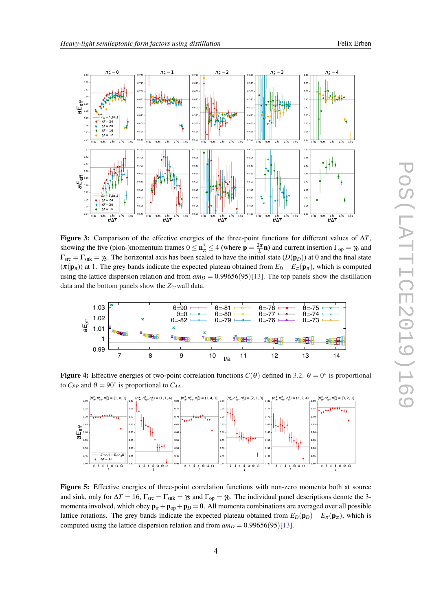<span id="page-5-0"></span>

Figure 3: Comparison of the effective energies of the three-point functions for different values of  $\Delta T$ , showing the five (pion-)momentum frames  $0 \le n_{\pi}^2 \le 4$  (where  $p = \frac{2\pi}{L}n$ ) and current insertion  $\Gamma_{op} = \gamma_0$  and  $\Gamma_{\rm src} = \Gamma_{\rm shk} = \gamma_5$ . The horizontal axis has been scaled to have the initial state  $(D(p_D))$  at 0 and the final state  $(\pi(\mathbf{p}_{\pi}))$  at 1. The grey bands indicate the expected plateau obtained from  $E_D - E_{\pi}(\mathbf{p}_{\pi})$ , which is computed using the lattice dispersion relation and from  $am_D = 0.99656(95)[13]$  $am_D = 0.99656(95)[13]$ . The top panels show the distillation data and the bottom panels show the *Z*2-wall data.



**Figure 4:** Effective energies of two-point correlation functions  $C(\theta)$  defined in [3.2](#page-4-0).  $\theta = 0^{\circ}$  is proportional to  $C_{PP}$  and  $\theta = 90^{\circ}$  is proportional to  $C_{AA}$ .



Figure 5: Effective energies of three-point correlation functions with non-zero momenta both at source and sink, only for  $\Delta T = 16$ ,  $\Gamma_{\rm src} = \Gamma_{\rm shk} = \gamma_5$  and  $\Gamma_{\rm op} = \gamma_0$ . The individual panel descriptions denote the 3momenta involved, which obey  $\mathbf{p}_{\pi} + \mathbf{p}_{op} + \mathbf{p}_{D} = \mathbf{0}$ . All momenta combinations are averaged over all possible lattice rotations. The grey bands indicate the expected plateau obtained from  $E_D(\mathbf{p}_D) - E_{\pi}(\mathbf{p}_{\pi})$ , which is computed using the lattice dispersion relation and from  $am_D = 0.99656(95)[13]$  $am_D = 0.99656(95)[13]$ .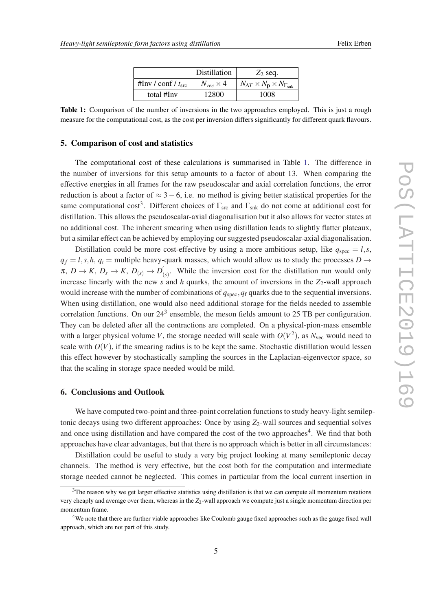|                             | Distillation       | $Z_2$ seq.                                                  |
|-----------------------------|--------------------|-------------------------------------------------------------|
| #Inv / conf / $t_{\rm src}$ | $N_{vec} \times 4$ | $N_{\Delta T} \times N_{\bf p} \times N_{\Gamma_{\rm snk}}$ |
| total #Inv                  | 12800              | 1008                                                        |

Table 1: Comparison of the number of inversions in the two approaches employed. This is just a rough measure for the computational cost, as the cost per inversion differs significantly for different quark flavours.

#### 5. Comparison of cost and statistics

The computational cost of these calculations is summarised in Table 1. The difference in the number of inversions for this setup amounts to a factor of about 13. When comparing the effective energies in all frames for the raw pseudoscalar and axial correlation functions, the error reduction is about a factor of  $\approx$  3 – 6, i.e. no method is giving better statistical properties for the same computational cost<sup>3</sup>. Different choices of  $\Gamma_{src}$  and  $\Gamma_{snk}$  do not come at additional cost for distillation. This allows the pseudoscalar-axial diagonalisation but it also allows for vector states at no additional cost. The inherent smearing when using distillation leads to slightly flatter plateaux, but a similar effect can be achieved by employing our suggested pseudoscalar-axial diagonalisation.

Distillation could be more cost-effective by using a more ambitious setup, like  $q_{\text{spec}} = l, s$ ,  $q_f = l$ , *s*, *h*,  $q_i$  = multiple heavy-quark masses, which would allow us to study the processes *D* →  $\pi,~D\rightarrow K,~D_s\rightarrow K,~D_{(s)}\rightarrow D_{(s)}'$  $\mathbf{f}_{(s)}$ . While the inversion cost for the distillation run would only increase linearly with the new  $s$  and  $h$  quarks, the amount of inversions in the  $Z_2$ -wall approach would increase with the number of combinations of *q*spec,*q*<sup>f</sup> quarks due to the sequential inversions. When using distillation, one would also need additional storage for the fields needed to assemble correlation functions. On our  $24<sup>3</sup>$  ensemble, the meson fields amount to 25 TB per configuration. They can be deleted after all the contractions are completed. On a physical-pion-mass ensemble with a larger physical volume *V*, the storage needed will scale with  $O(V^2)$ , as  $N_{\text{vec}}$  would need to scale with  $O(V)$ , if the smearing radius is to be kept the same. Stochastic distillation would lessen this effect however by stochastically sampling the sources in the Laplacian-eigenvector space, so that the scaling in storage space needed would be mild.

## 6. Conclusions and Outlook

We have computed two-point and three-point correlation functions to study heavy-light semileptonic decays using two different approaches: Once by using  $Z_2$ -wall sources and sequential solves and once using distillation and have compared the cost of the two approaches<sup>4</sup>. We find that both approaches have clear advantages, but that there is no approach which is better in all circumstances:

Distillation could be useful to study a very big project looking at many semileptonic decay channels. The method is very effective, but the cost both for the computation and intermediate storage needed cannot be neglected. This comes in particular from the local current insertion in

 $3$ The reason why we get larger effective statistics using distillation is that we can compute all momentum rotations very cheaply and average over them, whereas in the  $Z_2$ -wall approach we compute just a single momentum direction per momentum frame.

<sup>4</sup>We note that there are further viable approaches like Coulomb gauge fixed approaches such as the gauge fixed wall approach, which are not part of this study.